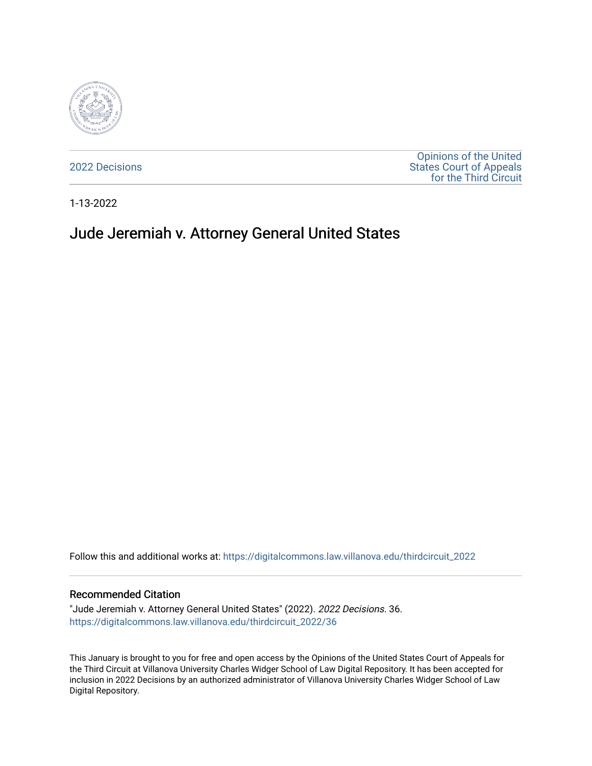

[2022 Decisions](https://digitalcommons.law.villanova.edu/thirdcircuit_2022)

[Opinions of the United](https://digitalcommons.law.villanova.edu/thirdcircuit)  [States Court of Appeals](https://digitalcommons.law.villanova.edu/thirdcircuit)  [for the Third Circuit](https://digitalcommons.law.villanova.edu/thirdcircuit) 

1-13-2022

# Jude Jeremiah v. Attorney General United States

Follow this and additional works at: [https://digitalcommons.law.villanova.edu/thirdcircuit\\_2022](https://digitalcommons.law.villanova.edu/thirdcircuit_2022?utm_source=digitalcommons.law.villanova.edu%2Fthirdcircuit_2022%2F36&utm_medium=PDF&utm_campaign=PDFCoverPages) 

#### Recommended Citation

"Jude Jeremiah v. Attorney General United States" (2022). 2022 Decisions. 36. [https://digitalcommons.law.villanova.edu/thirdcircuit\\_2022/36](https://digitalcommons.law.villanova.edu/thirdcircuit_2022/36?utm_source=digitalcommons.law.villanova.edu%2Fthirdcircuit_2022%2F36&utm_medium=PDF&utm_campaign=PDFCoverPages)

This January is brought to you for free and open access by the Opinions of the United States Court of Appeals for the Third Circuit at Villanova University Charles Widger School of Law Digital Repository. It has been accepted for inclusion in 2022 Decisions by an authorized administrator of Villanova University Charles Widger School of Law Digital Repository.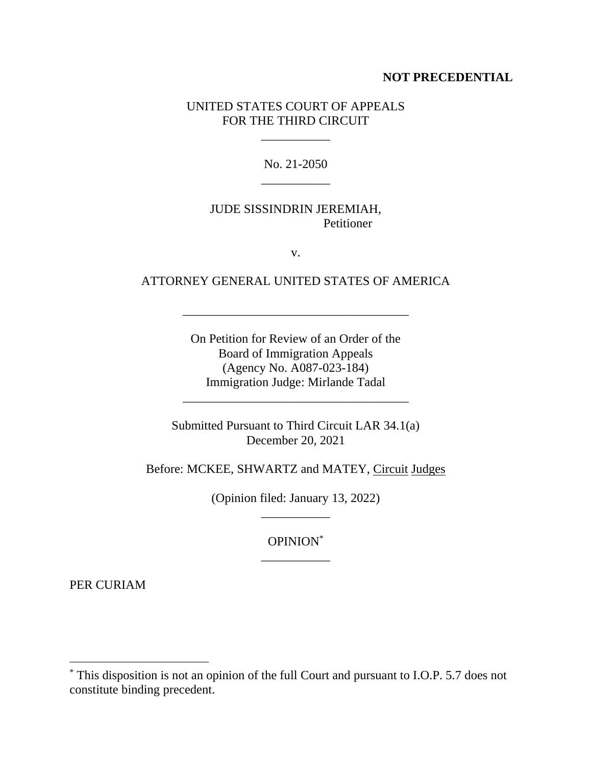### **NOT PRECEDENTIAL**

## UNITED STATES COURT OF APPEALS FOR THE THIRD CIRCUIT

 $\mathcal{L}_\text{max}$  and  $\mathcal{L}_\text{max}$ 

No. 21-2050 \_\_\_\_\_\_\_\_\_\_\_

# JUDE SISSINDRIN JEREMIAH, Petitioner

v.

# ATTORNEY GENERAL UNITED STATES OF AMERICA

\_\_\_\_\_\_\_\_\_\_\_\_\_\_\_\_\_\_\_\_\_\_\_\_\_\_\_\_\_\_\_\_\_\_\_\_

On Petition for Review of an Order of the Board of Immigration Appeals (Agency No. A087-023-184) Immigration Judge: Mirlande Tadal

Submitted Pursuant to Third Circuit LAR 34.1(a) December 20, 2021

\_\_\_\_\_\_\_\_\_\_\_\_\_\_\_\_\_\_\_\_\_\_\_\_\_\_\_\_\_\_\_\_\_\_\_\_

Before: MCKEE, SHWARTZ and MATEY, Circuit Judges

(Opinion filed: January 13, 2022) \_\_\_\_\_\_\_\_\_\_\_

> OPINION\* \_\_\_\_\_\_\_\_\_\_\_

PER CURIAM

<sup>\*</sup> This disposition is not an opinion of the full Court and pursuant to I.O.P. 5.7 does not constitute binding precedent.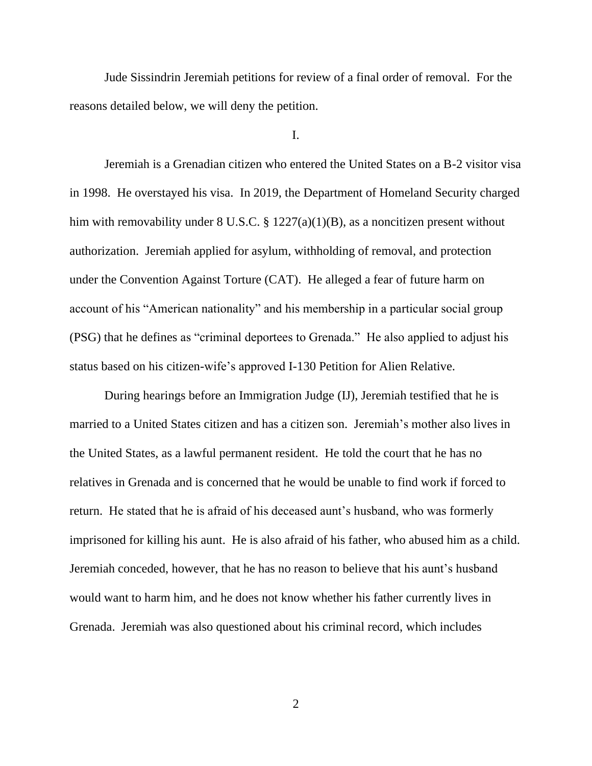Jude Sissindrin Jeremiah petitions for review of a final order of removal. For the reasons detailed below, we will deny the petition.

### I.

Jeremiah is a Grenadian citizen who entered the United States on a B-2 visitor visa in 1998. He overstayed his visa. In 2019, the Department of Homeland Security charged him with removability under 8 U.S.C. § 1227(a)(1)(B), as a noncitizen present without authorization. Jeremiah applied for asylum, withholding of removal, and protection under the Convention Against Torture (CAT). He alleged a fear of future harm on account of his "American nationality" and his membership in a particular social group (PSG) that he defines as "criminal deportees to Grenada." He also applied to adjust his status based on his citizen-wife's approved I-130 Petition for Alien Relative.

During hearings before an Immigration Judge (IJ), Jeremiah testified that he is married to a United States citizen and has a citizen son. Jeremiah's mother also lives in the United States, as a lawful permanent resident. He told the court that he has no relatives in Grenada and is concerned that he would be unable to find work if forced to return. He stated that he is afraid of his deceased aunt's husband, who was formerly imprisoned for killing his aunt. He is also afraid of his father, who abused him as a child. Jeremiah conceded, however, that he has no reason to believe that his aunt's husband would want to harm him, and he does not know whether his father currently lives in Grenada. Jeremiah was also questioned about his criminal record, which includes

2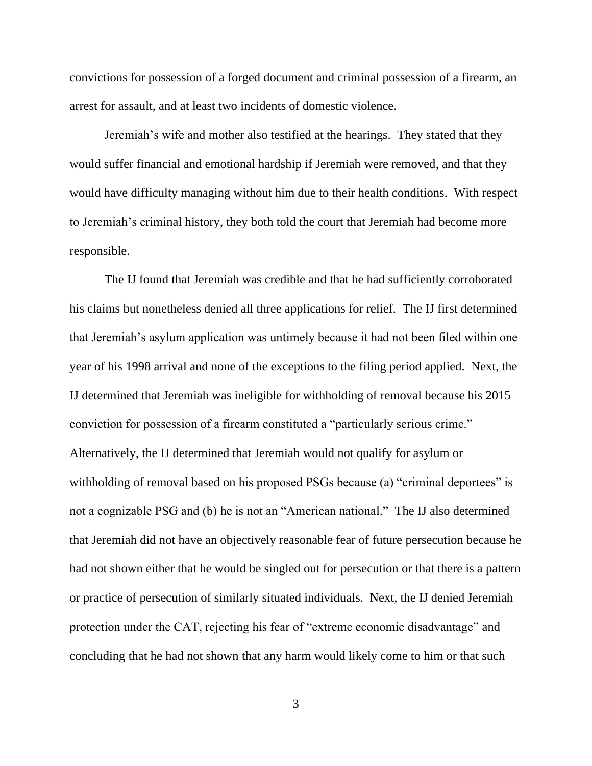convictions for possession of a forged document and criminal possession of a firearm, an arrest for assault, and at least two incidents of domestic violence.

Jeremiah's wife and mother also testified at the hearings. They stated that they would suffer financial and emotional hardship if Jeremiah were removed, and that they would have difficulty managing without him due to their health conditions. With respect to Jeremiah's criminal history, they both told the court that Jeremiah had become more responsible.

The IJ found that Jeremiah was credible and that he had sufficiently corroborated his claims but nonetheless denied all three applications for relief. The IJ first determined that Jeremiah's asylum application was untimely because it had not been filed within one year of his 1998 arrival and none of the exceptions to the filing period applied. Next, the IJ determined that Jeremiah was ineligible for withholding of removal because his 2015 conviction for possession of a firearm constituted a "particularly serious crime." Alternatively, the IJ determined that Jeremiah would not qualify for asylum or withholding of removal based on his proposed PSGs because (a) "criminal deportees" is not a cognizable PSG and (b) he is not an "American national." The IJ also determined that Jeremiah did not have an objectively reasonable fear of future persecution because he had not shown either that he would be singled out for persecution or that there is a pattern or practice of persecution of similarly situated individuals. Next, the IJ denied Jeremiah protection under the CAT, rejecting his fear of "extreme economic disadvantage" and concluding that he had not shown that any harm would likely come to him or that such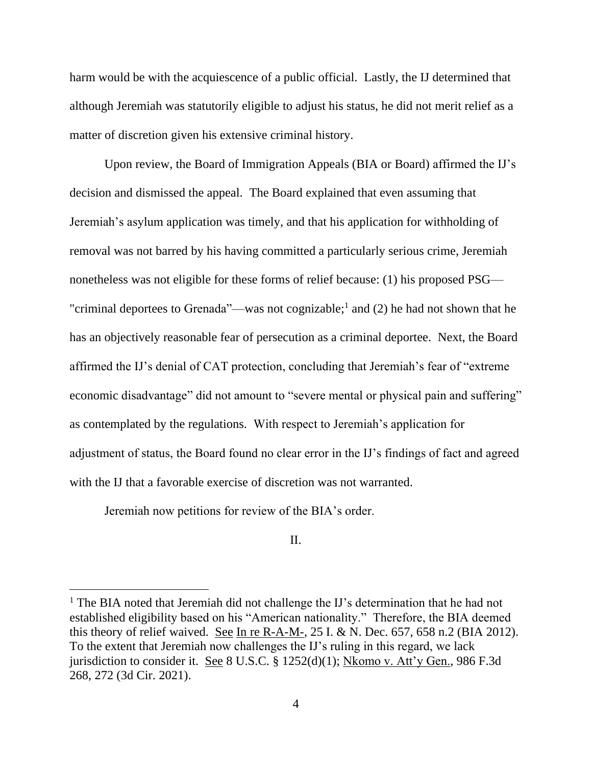harm would be with the acquiescence of a public official. Lastly, the IJ determined that although Jeremiah was statutorily eligible to adjust his status, he did not merit relief as a matter of discretion given his extensive criminal history.

Upon review, the Board of Immigration Appeals (BIA or Board) affirmed the IJ's decision and dismissed the appeal. The Board explained that even assuming that Jeremiah's asylum application was timely, and that his application for withholding of removal was not barred by his having committed a particularly serious crime, Jeremiah nonetheless was not eligible for these forms of relief because: (1) his proposed PSG— "criminal deportees to Grenada"—was not cognizable;<sup>1</sup> and (2) he had not shown that he has an objectively reasonable fear of persecution as a criminal deportee. Next, the Board affirmed the IJ's denial of CAT protection, concluding that Jeremiah's fear of "extreme economic disadvantage" did not amount to "severe mental or physical pain and suffering" as contemplated by the regulations. With respect to Jeremiah's application for adjustment of status, the Board found no clear error in the IJ's findings of fact and agreed with the IJ that a favorable exercise of discretion was not warranted.

Jeremiah now petitions for review of the BIA's order.

II.

<sup>&</sup>lt;sup>1</sup> The BIA noted that Jeremiah did not challenge the IJ's determination that he had not established eligibility based on his "American nationality." Therefore, the BIA deemed this theory of relief waived. See In re R-A-M-, 25 I. & N. Dec. 657, 658 n.2 (BIA 2012). To the extent that Jeremiah now challenges the IJ's ruling in this regard, we lack jurisdiction to consider it. See 8 U.S.C. § 1252(d)(1); Nkomo v. Att'y Gen., 986 F.3d 268, 272 (3d Cir. 2021).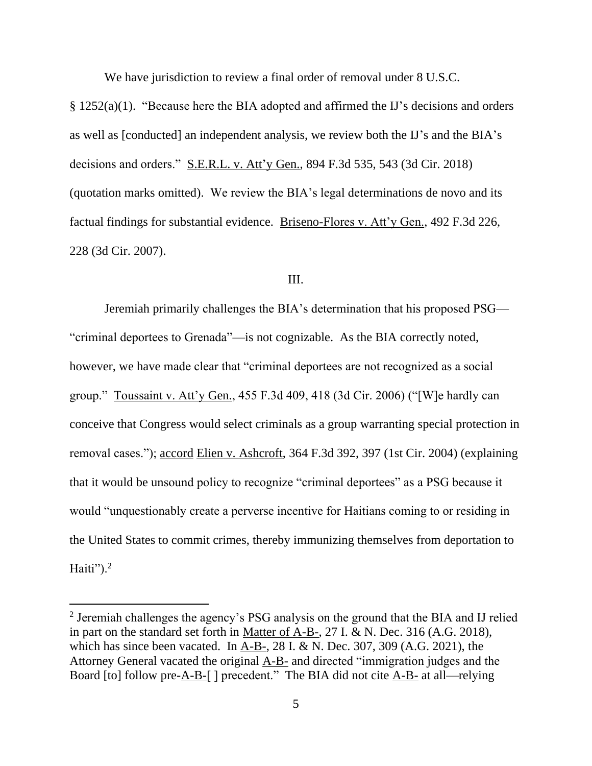We have jurisdiction to review a final order of removal under 8 U.S.C.

§ 1252(a)(1). "Because here the BIA adopted and affirmed the IJ's decisions and orders as well as [conducted] an independent analysis, we review both the IJ's and the BIA's decisions and orders." S.E.R.L. v. Att'y Gen., 894 F.3d 535, 543 (3d Cir. 2018) (quotation marks omitted). We review the BIA's legal determinations de novo and its factual findings for substantial evidence. Briseno-Flores v. Att'y Gen., 492 F.3d 226, 228 (3d Cir. 2007).

#### III.

Jeremiah primarily challenges the BIA's determination that his proposed PSG— "criminal deportees to Grenada"—is not cognizable. As the BIA correctly noted, however, we have made clear that "criminal deportees are not recognized as a social group." Toussaint v. Att'y Gen., 455 F.3d 409, 418 (3d Cir. 2006) ("[W]e hardly can conceive that Congress would select criminals as a group warranting special protection in removal cases."); accord Elien v. Ashcroft, 364 F.3d 392, 397 (1st Cir. 2004) (explaining that it would be unsound policy to recognize "criminal deportees" as a PSG because it would "unquestionably create a perverse incentive for Haitians coming to or residing in the United States to commit crimes, thereby immunizing themselves from deportation to Haiti"). $2$ 

 $2$  Jeremiah challenges the agency's PSG analysis on the ground that the BIA and IJ relied in part on the standard set forth in Matter of A-B-, 27 I. & N. Dec. 316 (A.G. 2018), which has since been vacated. In  $A-B$ -, 28 I. & N. Dec. 307, 309 (A.G. 2021), the Attorney General vacated the original A-B- and directed "immigration judges and the Board [to] follow pre-A-B-[ ] precedent." The BIA did not cite A-B- at all—relying